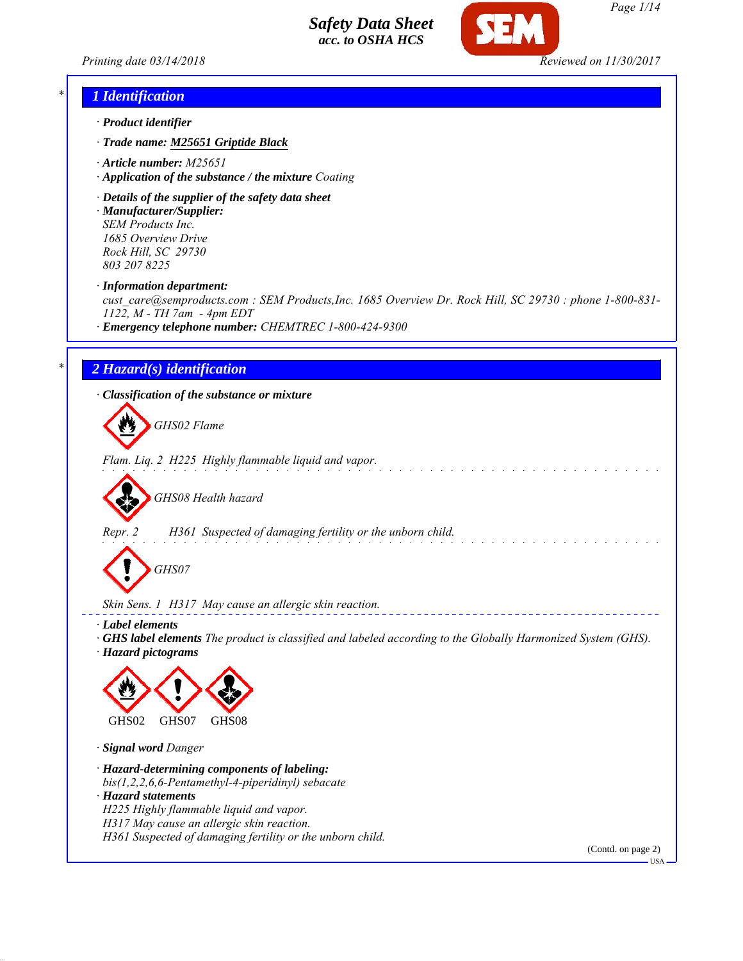

*Page 1/14*

*Printing date 03/14/2018 Reviewed on 11/30/2017*

### *\* 1 Identification*

- *· Product identifier*
- *· Trade name: M25651 Griptide Black*
- *· Article number: M25651*
- *· Application of the substance / the mixture Coating*
- *· Details of the supplier of the safety data sheet · Manufacturer/Supplier: SEM Products Inc. 1685 Overview Drive*

*Rock Hill, SC 29730 803 207 8225*

*· Information department:*

*cust\_care@semproducts.com : SEM Products,Inc. 1685 Overview Dr. Rock Hill, SC 29730 : phone 1-800-831- 1122, M - TH 7am - 4pm EDT*

*· Emergency telephone number: CHEMTREC 1-800-424-9300*

### *\* 2 Hazard(s) identification*

*· Classification of the substance or mixture*

*GHS02 Flame*

*Flam. Liq. 2 H225 Highly flammable liquid and vapor.*

*GHS08 Health hazard*

*Repr. 2 H361 Suspected of damaging fertility or the unborn child.*

*GHS07*

*Skin Sens. 1 H317 May cause an allergic skin reaction.*

*· Label elements*

*· GHS label elements The product is classified and labeled according to the Globally Harmonized System (GHS). · Hazard pictograms*



*· Signal word Danger*

*· Hazard-determining components of labeling: bis(1,2,2,6,6-Pentamethyl-4-piperidinyl) sebacate · Hazard statements H225 Highly flammable liquid and vapor. H317 May cause an allergic skin reaction.*

*H361 Suspected of damaging fertility or the unborn child.*

(Contd. on page 2)

USA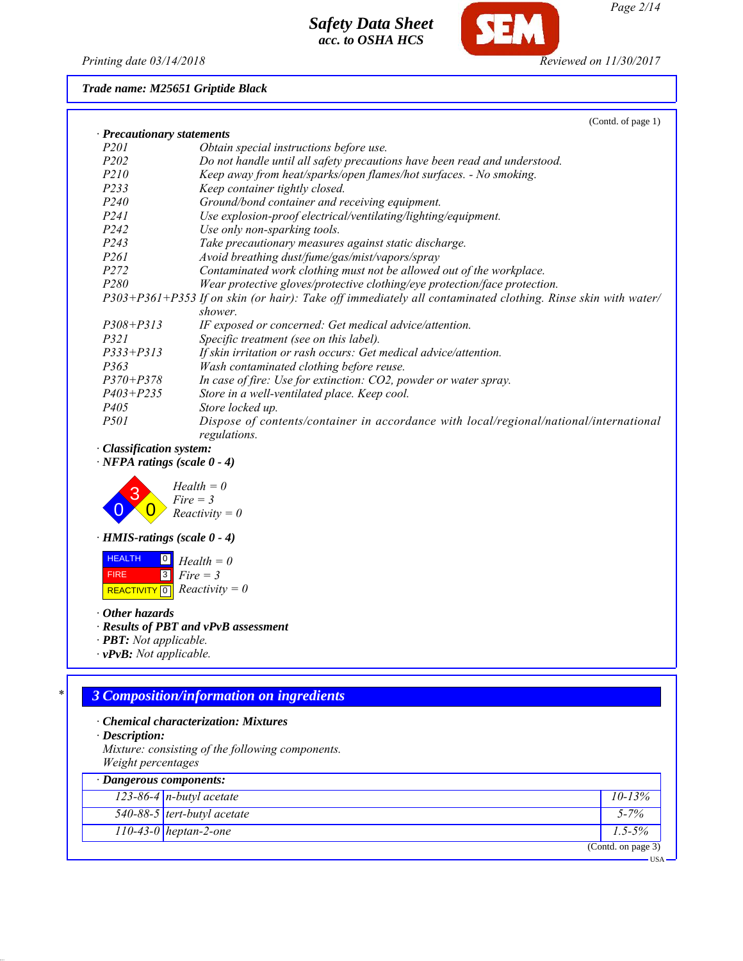*Printing date 03/14/2018 Reviewed on 11/30/2017*

**SFM** 

*Trade name: M25651 Griptide Black*

|                                    | (Contd. of page 1)                                                                                          |
|------------------------------------|-------------------------------------------------------------------------------------------------------------|
| · Precautionary statements         |                                                                                                             |
| <i>P201</i>                        | Obtain special instructions before use.                                                                     |
| <i>P202</i>                        | Do not handle until all safety precautions have been read and understood.                                   |
| P210                               | Keep away from heat/sparks/open flames/hot surfaces. - No smoking.                                          |
| P233                               | Keep container tightly closed.                                                                              |
| P <sub>240</sub>                   | Ground/bond container and receiving equipment.                                                              |
| <i>P241</i>                        | Use explosion-proof electrical/ventilating/lighting/equipment.                                              |
| P <sub>242</sub>                   | Use only non-sparking tools.                                                                                |
| P <sub>243</sub>                   | Take precautionary measures against static discharge.                                                       |
| P <sub>261</sub>                   | Avoid breathing dust/fume/gas/mist/vapors/spray                                                             |
| P272                               | Contaminated work clothing must not be allowed out of the workplace.                                        |
| P280                               | Wear protective gloves/protective clothing/eye protection/face protection.                                  |
|                                    | P303+P361+P353 If on skin (or hair): Take off immediately all contaminated clothing. Rinse skin with water/ |
|                                    | shower.                                                                                                     |
| $P308 + P313$                      | IF exposed or concerned: Get medical advice/attention.                                                      |
| <i>P321</i>                        | Specific treatment (see on this label).                                                                     |
| $P333 + P313$                      | If skin irritation or rash occurs: Get medical advice/attention.                                            |
| P363                               | Wash contaminated clothing before reuse.                                                                    |
| $P370 + P378$                      | In case of fire: Use for extinction: CO2, powder or water spray.                                            |
| $P403 + P235$                      | Store in a well-ventilated place. Keep cool.                                                                |
| <i>P405</i>                        | Store locked up.                                                                                            |
| <i>P501</i>                        | Dispose of contents/container in accordance with local/regional/national/international                      |
|                                    | regulations.                                                                                                |
| · Classification system:           |                                                                                                             |
| $\cdot$ NFPA ratings (scale 0 - 4) |                                                                                                             |
| $\sim$                             |                                                                                                             |



*· HMIS-ratings (scale 0 - 4)*

 HEALTH FIRE  $\boxed{\text{REACTIVITY} \boxed{0}}$  Reactivity = 0 0 *Health = 0* 3 *Fire = 3*

*· Other hazards*

*· Results of PBT and vPvB assessment*

- *· PBT: Not applicable.*
- *· vPvB: Not applicable.*

# *\* 3 Composition/information on ingredients*

- *· Chemical characterization: Mixtures*
- *· Description:*

*Mixture: consisting of the following components. Weight percentages*

| $\cdot$ Dangerous components: |                    |
|-------------------------------|--------------------|
| 123-86-4 $n$ -butyl acetate   | $10 - 13\%$        |
| 540-88-5 tert-butyl acetate   | $5 - 7\%$          |
| $110-43-0$ heptan-2-one       | $1.5 - 5\%$        |
|                               | (Contd. on page 3) |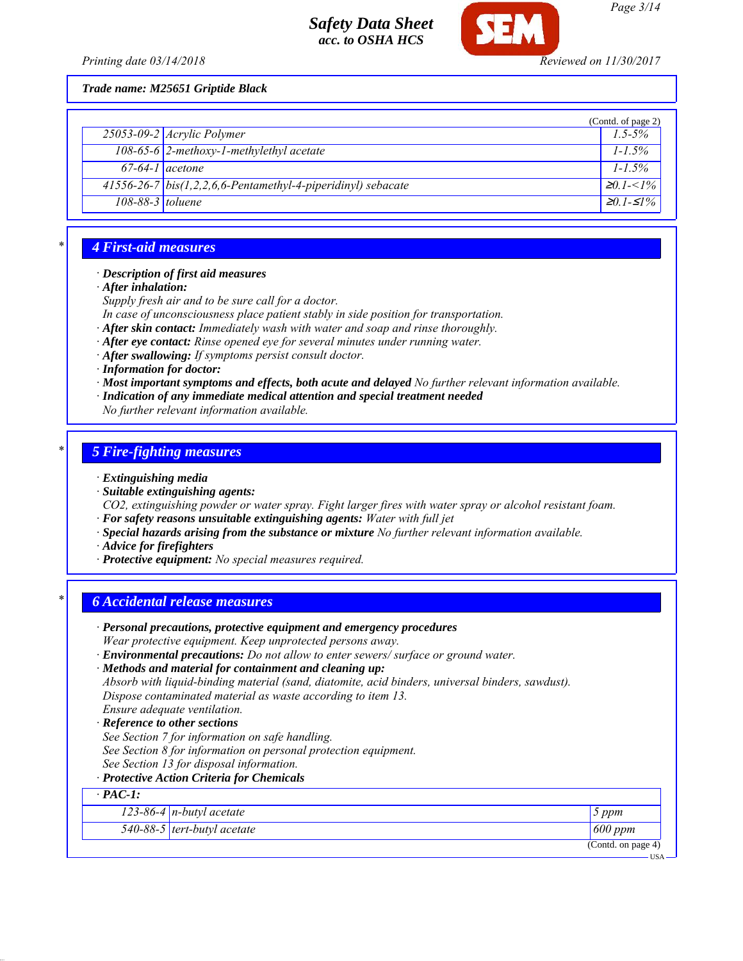*Printing date 03/14/2018 Reviewed on 11/30/2017*

*Trade name: M25651 Griptide Black*

|                   |                                                                            | (Contd. of page 2)     |
|-------------------|----------------------------------------------------------------------------|------------------------|
|                   | $25053 - 09 - 2$ <i>Acrylic Polymer</i>                                    | $1.5 - 5\%$            |
|                   | 108-65-6 2-methoxy-1-methylethyl acetate                                   | $1 - 1.5\%$            |
| $67-64-1$ acetone |                                                                            | $1 - 1.5\%$            |
|                   | $\frac{41556-26-7}{100}$ bis(1,2,2,6,6-Pentamethyl-4-piperidinyl) sebacate | $\geq 0$ 1- $\lt$ 1%   |
| 108-88-3 toluene  |                                                                            | $\geq 0$ 1- $\leq 1\%$ |

### *\* 4 First-aid measures*

#### *· Description of first aid measures*

*· After inhalation:*

*Supply fresh air and to be sure call for a doctor.*

- *In case of unconsciousness place patient stably in side position for transportation.*
- *· After skin contact: Immediately wash with water and soap and rinse thoroughly.*
- *· After eye contact: Rinse opened eye for several minutes under running water.*
- *· After swallowing: If symptoms persist consult doctor.*
- *· Information for doctor:*
- *· Most important symptoms and effects, both acute and delayed No further relevant information available.*
- *· Indication of any immediate medical attention and special treatment needed*
- *No further relevant information available.*

### *\* 5 Fire-fighting measures*

- *· Extinguishing media*
- *· Suitable extinguishing agents:*

*CO2, extinguishing powder or water spray. Fight larger fires with water spray or alcohol resistant foam. · For safety reasons unsuitable extinguishing agents: Water with full jet*

- *· Special hazards arising from the substance or mixture No further relevant information available.*
- *· Advice for firefighters*
- *· Protective equipment: No special measures required.*

### *\* 6 Accidental release measures*

| · Personal precautions, protective equipment and emergency procedures<br>Wear protective equipment. Keep unprotected persons away. |                    |
|------------------------------------------------------------------------------------------------------------------------------------|--------------------|
| · Environmental precautions: Do not allow to enter sewers/ surface or ground water.                                                |                    |
| · Methods and material for containment and cleaning up:                                                                            |                    |
| Absorb with liquid-binding material (sand, diatomite, acid binders, universal binders, sawdust).                                   |                    |
| Dispose contaminated material as waste according to item 13.                                                                       |                    |
| Ensure adequate ventilation.                                                                                                       |                    |
| · Reference to other sections                                                                                                      |                    |
| See Section 7 for information on safe handling.                                                                                    |                    |
| See Section 8 for information on personal protection equipment.                                                                    |                    |
| See Section 13 for disposal information.                                                                                           |                    |
| · Protective Action Criteria for Chemicals                                                                                         |                    |
| $\cdot$ PAC-1:                                                                                                                     |                    |
| 123-86-4 $n$ -butyl acetate                                                                                                        | 5 ppm              |
| $540-88-5$ tert-butyl acetate                                                                                                      | 600 ppm            |
|                                                                                                                                    | (Contd. on page 4) |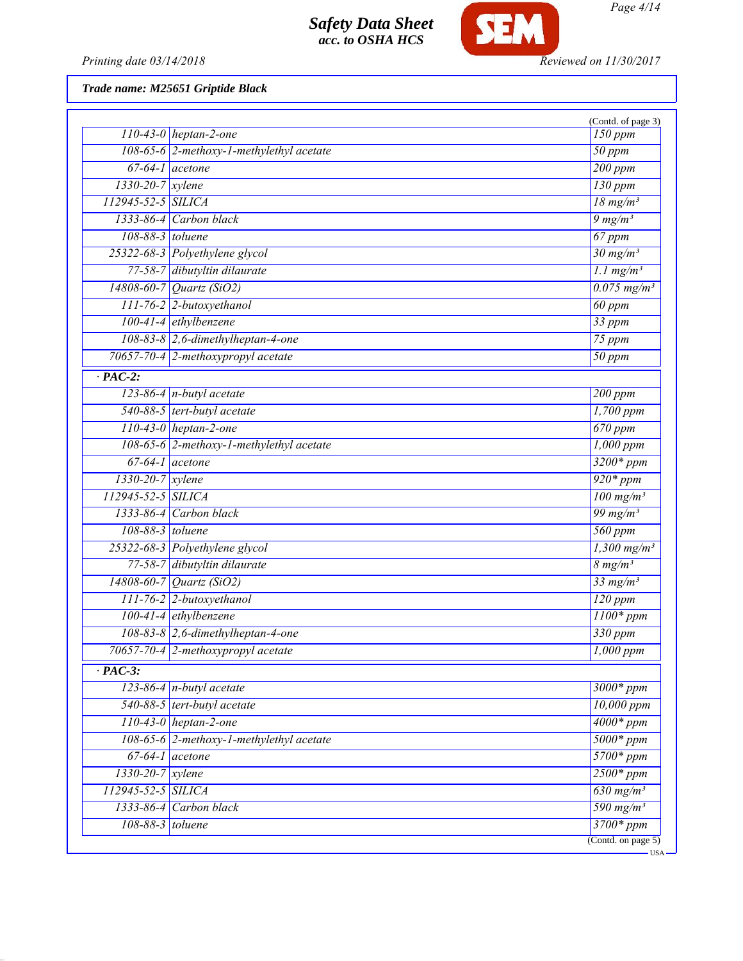

*Printing date 03/14/2018 Reviewed on 11/30/2017*

# *Trade name: M25651 Griptide Black*

|                        | $110-43-0$ heptan-2-one                  | (Contd. of page 3)<br>150 ppm                 |
|------------------------|------------------------------------------|-----------------------------------------------|
|                        | 108-65-6 2-methoxy-1-methylethyl acetate | $\overline{50~ppm}$                           |
|                        | $67-64-1$ acetone                        | 200 ppm                                       |
| $1330 - 20 - 7$ xylene |                                          | $130$ ppm                                     |
| 112945-52-5 SILICA     |                                          | $18$ mg/m <sup>3</sup>                        |
|                        | 1333-86-4 Carbon black                   | $9 \frac{mg}{m^3}$                            |
| 108-88-3 toluene       |                                          | 67 ppm                                        |
|                        | 25322-68-3 Polyethylene glycol           | $30$ mg/m <sup>3</sup>                        |
|                        | 77-58-7 dibutyltin dilaurate             | $1.1$ mg/m <sup>3</sup>                       |
|                        | 14808-60-7 Quartz (SiO2)                 | $0.075$ mg/m <sup>3</sup>                     |
|                        | 111-76-2 2-butoxyethanol                 | 60 ppm                                        |
|                        | $100-41-4$ ethylbenzene                  | 33 ppm                                        |
|                        | $108-83-8$ 2,6-dimethylheptan-4-one      | 75 ppm                                        |
|                        | 70657-70-4 2-methoxypropyl acetate       | $\overline{50}$ ppm                           |
| $\overline{PAC-2}$ :   |                                          |                                               |
|                        | $123-86-4$ n-butyl acetate               | 200 ppm                                       |
|                        | 540-88-5 tert-butyl acetate              | $1,700$ ppm                                   |
|                        | $110-43-0$ heptan-2-one                  | $670$ ppm                                     |
|                        | 108-65-6 2-methoxy-1-methylethyl acetate | $1,000$ ppm                                   |
|                        | $67-64-1$ acetone                        | $3200*ppm$                                    |
| 1330-20-7 xylene       |                                          | $920*ppm$                                     |
| 112945-52-5 SILICA     |                                          | $100$ mg/m <sup>3</sup>                       |
|                        | 1333-86-4 Carbon black                   | $\frac{99 \text{ mg/m}^3}{99 \text{ mg/m}^3}$ |
| 108-88-3 toluene       |                                          | $560$ ppm                                     |
|                        | 25322-68-3 Polyethylene glycol           | $1,300$ mg/m <sup>3</sup>                     |
|                        | 77-58-7 dibutyltin dilaurate             | $8 \, mg/m^3$                                 |
|                        | 14808-60-7 Quartz (SiO2)                 | $33$ mg/m <sup>3</sup>                        |
|                        | 111-76-2 2-butoxyethanol                 | $120$ ppm                                     |
|                        | 100-41-4 ethylbenzene                    | $\overline{1100*ppm}$                         |
|                        | 108-83-8 2,6-dimethylheptan-4-one        | 330 ppm                                       |
|                        | 70657-70-4 2-methoxypropyl acetate       | $\overline{1,000}$ ppm                        |
| $\cdot$ PAC-3:         |                                          |                                               |
|                        | 123-86-4 $n$ -butyl acetate              | 3000* ppm                                     |
|                        | 540-88-5 tert-butyl acetate              | $10,000$ ppm                                  |
|                        | $110-43-0$ heptan-2-one                  | $4000*ppm$                                    |
|                        | 108-65-6 2-methoxy-1-methylethyl acetate | $5000*ppm$                                    |
|                        | $67-64-1$ acetone                        | $5700*ppm$                                    |
| $1330 - 20 - 7$ xylene |                                          | $2500*ppm$                                    |
| 112945-52-5 SILICA     |                                          | $\overline{630 \text{ mg/m}^3}$               |
|                        | $1333-86-4$ Carbon black                 | $590$ mg/m <sup>3</sup>                       |
|                        | 108-88-3 toluene                         | $3700*ppm$                                    |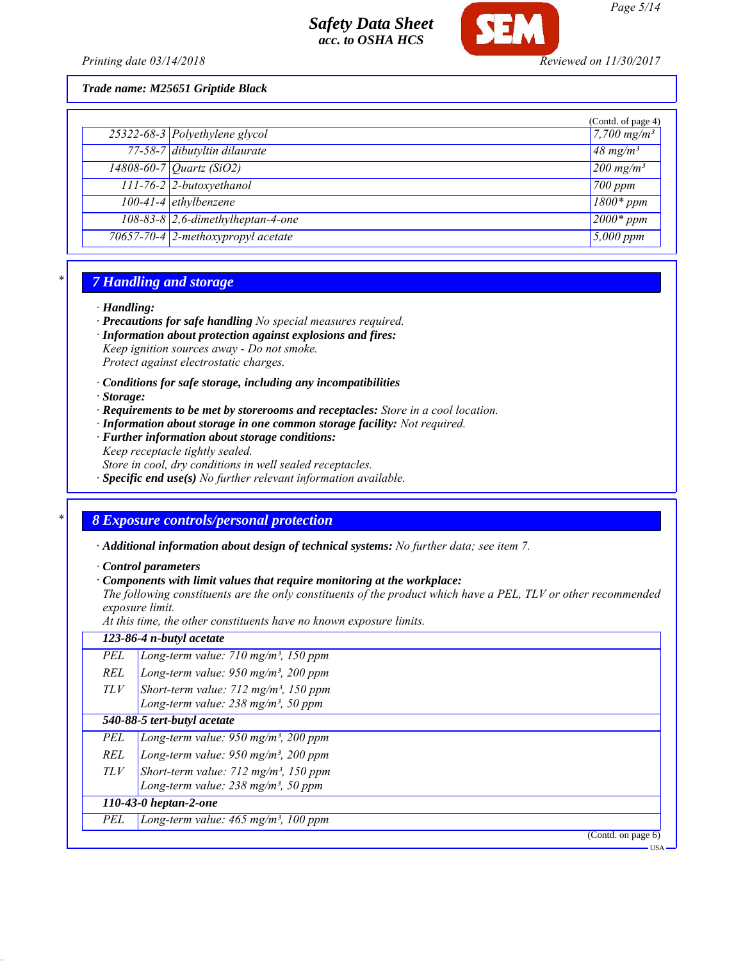

*Printing date 03/14/2018 Reviewed on 11/30/2017*

*Trade name: M25651 Griptide Black*

|                                       | (Contd. of page 4)             |
|---------------------------------------|--------------------------------|
| 25322-68-3 Polyethylene glycol        | 7,700 $mg/m^3$                 |
| 77-58-7 dibutyltin dilaurate          | $48$ mg/m <sup>3</sup>         |
| $14808 - 60 - 7$ <i>Quartz (SiO2)</i> | $\sqrt{200}$ mg/m <sup>3</sup> |
| 111-76-2 2-butoxyethanol              | $700$ ppm                      |
| $100-41-4$ ethylbenzene               | $1800*ppm$                     |
| $108-83-8$ 2,6-dimethylheptan-4-one   | $2000*$ ppm                    |
| 70657-70-4 2-methoxypropyl acetate    | $5,000$ ppm                    |

### *\* 7 Handling and storage*

#### *· Handling:*

*· Precautions for safe handling No special measures required.*

*· Information about protection against explosions and fires:*

*Keep ignition sources away - Do not smoke. Protect against electrostatic charges.*

- *· Conditions for safe storage, including any incompatibilities*
- *· Storage:*
- *· Requirements to be met by storerooms and receptacles: Store in a cool location.*
- *· Information about storage in one common storage facility: Not required.*
- *· Further information about storage conditions:*
- *Keep receptacle tightly sealed.*
- *Store in cool, dry conditions in well sealed receptacles.*
- *· Specific end use(s) No further relevant information available.*

# *\* 8 Exposure controls/personal protection*

*· Additional information about design of technical systems: No further data; see item 7.*

*· Control parameters*

#### *· Components with limit values that require monitoring at the workplace:*

*The following constituents are the only constituents of the product which have a PEL, TLV or other recommended exposure limit.*

*At this time, the other constituents have no known exposure limits.*

|     | 123-86-4 n-butyl acetate                                                                                 |
|-----|----------------------------------------------------------------------------------------------------------|
| PEL | Long-term value: $710$ mg/m <sup>3</sup> , 150 ppm                                                       |
| REL | Long-term value: $950$ mg/m <sup>3</sup> , 200 ppm                                                       |
| TLV | Short-term value: $712$ mg/m <sup>3</sup> , 150 ppm                                                      |
|     | Long-term value: $238$ mg/m <sup>3</sup> , 50 ppm                                                        |
|     | 540-88-5 tert-butyl acetate                                                                              |
| PEL | Long-term value: $950$ mg/m <sup>3</sup> , 200 ppm                                                       |
| REL | Long-term value: $950$ mg/m <sup>3</sup> , 200 ppm                                                       |
| TLV | Short-term value: $712$ mg/m <sup>3</sup> , 150 ppm<br>Long-term value: $238$ mg/m <sup>3</sup> , 50 ppm |
|     | 110-43-0 heptan-2-one                                                                                    |
| PEL | Long-term value: $465$ mg/m <sup>3</sup> , 100 ppm                                                       |
|     | (Contd. on page 6)                                                                                       |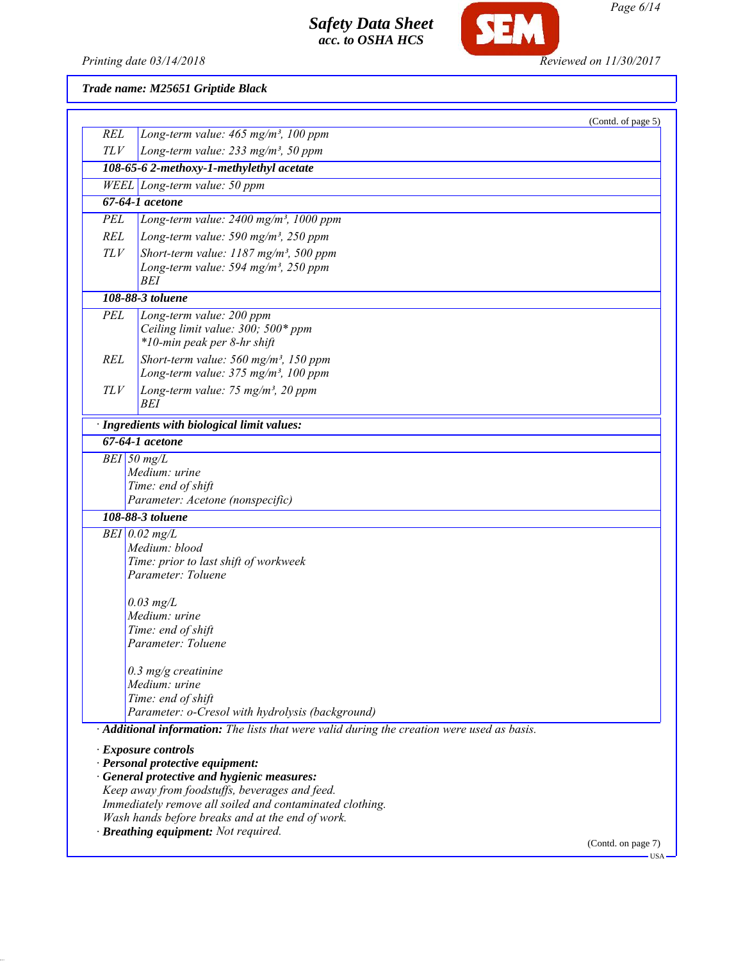

**SEM** 

*Trade name: M25651 Griptide Black*

| Long-term value: 465 mg/m <sup>3</sup> , 100 ppm<br>Long-term value: $233$ mg/m <sup>3</sup> , 50 ppm<br>108-65-6 2-methoxy-1-methylethyl acetate<br>WEEL Long-term value: 50 ppm<br>67-64-1 acetone<br>Long-term value: $2400$ mg/m <sup>3</sup> , 1000 ppm<br>Long-term value: 590 mg/m <sup>3</sup> , 250 ppm<br>Short-term value: $1187$ mg/m <sup>3</sup> , 500 ppm<br>Long-term value: $594$ mg/m <sup>3</sup> , $250$ ppm<br><b>BEI</b><br>108-88-3 toluene<br>Long-term value: 200 ppm<br>Ceiling limit value: 300; 500* ppm<br>*10-min peak per 8-hr shift<br>Short-term value: $560$ mg/m <sup>3</sup> , 150 ppm<br>Long-term value: 375 mg/m <sup>3</sup> , 100 ppm<br>Long-term value: 75 mg/m <sup>3</sup> , 20 ppm<br>BEI<br>· Ingredients with biological limit values:<br>$\overline{67\text{-}64\text{-}1}$ acetone<br>$\overline{BEI}$ 50 mg/L<br>Medium: urine<br>Time: end of shift<br>Parameter: Acetone (nonspecific)<br>108-88-3 toluene<br>$BEI$ 0.02 mg/L<br>Medium: blood<br>Time: prior to last shift of workweek<br>Parameter: Toluene<br>$0.03$ mg/L<br>Medium: urine<br>Time: end of shift<br>Parameter: Toluene<br>$0.3$ mg/g creatinine<br>Medium: urine<br>Time: end of shift<br>Parameter: o-Cresol with hydrolysis (background)<br>· Additional information: The lists that were valid during the creation were used as basis.<br>$\cdot$ Exposure controls<br>· Personal protective equipment:<br>· General protective and hygienic measures:<br>Keep away from foodstuffs, beverages and feed.<br>Immediately remove all soiled and contaminated clothing.<br>Wash hands before breaks and at the end of work.<br>· Breathing equipment: Not required. |            | (Contd. of page 5) |
|---------------------------------------------------------------------------------------------------------------------------------------------------------------------------------------------------------------------------------------------------------------------------------------------------------------------------------------------------------------------------------------------------------------------------------------------------------------------------------------------------------------------------------------------------------------------------------------------------------------------------------------------------------------------------------------------------------------------------------------------------------------------------------------------------------------------------------------------------------------------------------------------------------------------------------------------------------------------------------------------------------------------------------------------------------------------------------------------------------------------------------------------------------------------------------------------------------------------------------------------------------------------------------------------------------------------------------------------------------------------------------------------------------------------------------------------------------------------------------------------------------------------------------------------------------------------------------------------------------------------------------------------------------------------------------------------|------------|--------------------|
|                                                                                                                                                                                                                                                                                                                                                                                                                                                                                                                                                                                                                                                                                                                                                                                                                                                                                                                                                                                                                                                                                                                                                                                                                                                                                                                                                                                                                                                                                                                                                                                                                                                                                             | <b>REL</b> |                    |
|                                                                                                                                                                                                                                                                                                                                                                                                                                                                                                                                                                                                                                                                                                                                                                                                                                                                                                                                                                                                                                                                                                                                                                                                                                                                                                                                                                                                                                                                                                                                                                                                                                                                                             | <b>TLV</b> |                    |
|                                                                                                                                                                                                                                                                                                                                                                                                                                                                                                                                                                                                                                                                                                                                                                                                                                                                                                                                                                                                                                                                                                                                                                                                                                                                                                                                                                                                                                                                                                                                                                                                                                                                                             |            |                    |
|                                                                                                                                                                                                                                                                                                                                                                                                                                                                                                                                                                                                                                                                                                                                                                                                                                                                                                                                                                                                                                                                                                                                                                                                                                                                                                                                                                                                                                                                                                                                                                                                                                                                                             |            |                    |
|                                                                                                                                                                                                                                                                                                                                                                                                                                                                                                                                                                                                                                                                                                                                                                                                                                                                                                                                                                                                                                                                                                                                                                                                                                                                                                                                                                                                                                                                                                                                                                                                                                                                                             |            |                    |
|                                                                                                                                                                                                                                                                                                                                                                                                                                                                                                                                                                                                                                                                                                                                                                                                                                                                                                                                                                                                                                                                                                                                                                                                                                                                                                                                                                                                                                                                                                                                                                                                                                                                                             | <b>PEL</b> |                    |
|                                                                                                                                                                                                                                                                                                                                                                                                                                                                                                                                                                                                                                                                                                                                                                                                                                                                                                                                                                                                                                                                                                                                                                                                                                                                                                                                                                                                                                                                                                                                                                                                                                                                                             | <b>REL</b> |                    |
|                                                                                                                                                                                                                                                                                                                                                                                                                                                                                                                                                                                                                                                                                                                                                                                                                                                                                                                                                                                                                                                                                                                                                                                                                                                                                                                                                                                                                                                                                                                                                                                                                                                                                             | TLV        |                    |
|                                                                                                                                                                                                                                                                                                                                                                                                                                                                                                                                                                                                                                                                                                                                                                                                                                                                                                                                                                                                                                                                                                                                                                                                                                                                                                                                                                                                                                                                                                                                                                                                                                                                                             |            |                    |
|                                                                                                                                                                                                                                                                                                                                                                                                                                                                                                                                                                                                                                                                                                                                                                                                                                                                                                                                                                                                                                                                                                                                                                                                                                                                                                                                                                                                                                                                                                                                                                                                                                                                                             |            |                    |
|                                                                                                                                                                                                                                                                                                                                                                                                                                                                                                                                                                                                                                                                                                                                                                                                                                                                                                                                                                                                                                                                                                                                                                                                                                                                                                                                                                                                                                                                                                                                                                                                                                                                                             | PEL        |                    |
|                                                                                                                                                                                                                                                                                                                                                                                                                                                                                                                                                                                                                                                                                                                                                                                                                                                                                                                                                                                                                                                                                                                                                                                                                                                                                                                                                                                                                                                                                                                                                                                                                                                                                             |            |                    |
|                                                                                                                                                                                                                                                                                                                                                                                                                                                                                                                                                                                                                                                                                                                                                                                                                                                                                                                                                                                                                                                                                                                                                                                                                                                                                                                                                                                                                                                                                                                                                                                                                                                                                             |            |                    |
|                                                                                                                                                                                                                                                                                                                                                                                                                                                                                                                                                                                                                                                                                                                                                                                                                                                                                                                                                                                                                                                                                                                                                                                                                                                                                                                                                                                                                                                                                                                                                                                                                                                                                             | <b>REL</b> |                    |
|                                                                                                                                                                                                                                                                                                                                                                                                                                                                                                                                                                                                                                                                                                                                                                                                                                                                                                                                                                                                                                                                                                                                                                                                                                                                                                                                                                                                                                                                                                                                                                                                                                                                                             |            |                    |
|                                                                                                                                                                                                                                                                                                                                                                                                                                                                                                                                                                                                                                                                                                                                                                                                                                                                                                                                                                                                                                                                                                                                                                                                                                                                                                                                                                                                                                                                                                                                                                                                                                                                                             | TLV        |                    |
|                                                                                                                                                                                                                                                                                                                                                                                                                                                                                                                                                                                                                                                                                                                                                                                                                                                                                                                                                                                                                                                                                                                                                                                                                                                                                                                                                                                                                                                                                                                                                                                                                                                                                             |            |                    |
|                                                                                                                                                                                                                                                                                                                                                                                                                                                                                                                                                                                                                                                                                                                                                                                                                                                                                                                                                                                                                                                                                                                                                                                                                                                                                                                                                                                                                                                                                                                                                                                                                                                                                             |            |                    |
|                                                                                                                                                                                                                                                                                                                                                                                                                                                                                                                                                                                                                                                                                                                                                                                                                                                                                                                                                                                                                                                                                                                                                                                                                                                                                                                                                                                                                                                                                                                                                                                                                                                                                             |            |                    |
|                                                                                                                                                                                                                                                                                                                                                                                                                                                                                                                                                                                                                                                                                                                                                                                                                                                                                                                                                                                                                                                                                                                                                                                                                                                                                                                                                                                                                                                                                                                                                                                                                                                                                             |            |                    |
|                                                                                                                                                                                                                                                                                                                                                                                                                                                                                                                                                                                                                                                                                                                                                                                                                                                                                                                                                                                                                                                                                                                                                                                                                                                                                                                                                                                                                                                                                                                                                                                                                                                                                             |            |                    |
|                                                                                                                                                                                                                                                                                                                                                                                                                                                                                                                                                                                                                                                                                                                                                                                                                                                                                                                                                                                                                                                                                                                                                                                                                                                                                                                                                                                                                                                                                                                                                                                                                                                                                             |            |                    |
|                                                                                                                                                                                                                                                                                                                                                                                                                                                                                                                                                                                                                                                                                                                                                                                                                                                                                                                                                                                                                                                                                                                                                                                                                                                                                                                                                                                                                                                                                                                                                                                                                                                                                             |            |                    |
|                                                                                                                                                                                                                                                                                                                                                                                                                                                                                                                                                                                                                                                                                                                                                                                                                                                                                                                                                                                                                                                                                                                                                                                                                                                                                                                                                                                                                                                                                                                                                                                                                                                                                             |            |                    |
|                                                                                                                                                                                                                                                                                                                                                                                                                                                                                                                                                                                                                                                                                                                                                                                                                                                                                                                                                                                                                                                                                                                                                                                                                                                                                                                                                                                                                                                                                                                                                                                                                                                                                             |            |                    |
|                                                                                                                                                                                                                                                                                                                                                                                                                                                                                                                                                                                                                                                                                                                                                                                                                                                                                                                                                                                                                                                                                                                                                                                                                                                                                                                                                                                                                                                                                                                                                                                                                                                                                             |            |                    |
|                                                                                                                                                                                                                                                                                                                                                                                                                                                                                                                                                                                                                                                                                                                                                                                                                                                                                                                                                                                                                                                                                                                                                                                                                                                                                                                                                                                                                                                                                                                                                                                                                                                                                             |            |                    |
|                                                                                                                                                                                                                                                                                                                                                                                                                                                                                                                                                                                                                                                                                                                                                                                                                                                                                                                                                                                                                                                                                                                                                                                                                                                                                                                                                                                                                                                                                                                                                                                                                                                                                             |            |                    |
|                                                                                                                                                                                                                                                                                                                                                                                                                                                                                                                                                                                                                                                                                                                                                                                                                                                                                                                                                                                                                                                                                                                                                                                                                                                                                                                                                                                                                                                                                                                                                                                                                                                                                             |            |                    |
|                                                                                                                                                                                                                                                                                                                                                                                                                                                                                                                                                                                                                                                                                                                                                                                                                                                                                                                                                                                                                                                                                                                                                                                                                                                                                                                                                                                                                                                                                                                                                                                                                                                                                             |            |                    |
|                                                                                                                                                                                                                                                                                                                                                                                                                                                                                                                                                                                                                                                                                                                                                                                                                                                                                                                                                                                                                                                                                                                                                                                                                                                                                                                                                                                                                                                                                                                                                                                                                                                                                             |            |                    |
|                                                                                                                                                                                                                                                                                                                                                                                                                                                                                                                                                                                                                                                                                                                                                                                                                                                                                                                                                                                                                                                                                                                                                                                                                                                                                                                                                                                                                                                                                                                                                                                                                                                                                             |            |                    |
|                                                                                                                                                                                                                                                                                                                                                                                                                                                                                                                                                                                                                                                                                                                                                                                                                                                                                                                                                                                                                                                                                                                                                                                                                                                                                                                                                                                                                                                                                                                                                                                                                                                                                             |            |                    |
|                                                                                                                                                                                                                                                                                                                                                                                                                                                                                                                                                                                                                                                                                                                                                                                                                                                                                                                                                                                                                                                                                                                                                                                                                                                                                                                                                                                                                                                                                                                                                                                                                                                                                             |            |                    |
|                                                                                                                                                                                                                                                                                                                                                                                                                                                                                                                                                                                                                                                                                                                                                                                                                                                                                                                                                                                                                                                                                                                                                                                                                                                                                                                                                                                                                                                                                                                                                                                                                                                                                             |            |                    |
|                                                                                                                                                                                                                                                                                                                                                                                                                                                                                                                                                                                                                                                                                                                                                                                                                                                                                                                                                                                                                                                                                                                                                                                                                                                                                                                                                                                                                                                                                                                                                                                                                                                                                             |            |                    |
|                                                                                                                                                                                                                                                                                                                                                                                                                                                                                                                                                                                                                                                                                                                                                                                                                                                                                                                                                                                                                                                                                                                                                                                                                                                                                                                                                                                                                                                                                                                                                                                                                                                                                             |            |                    |
|                                                                                                                                                                                                                                                                                                                                                                                                                                                                                                                                                                                                                                                                                                                                                                                                                                                                                                                                                                                                                                                                                                                                                                                                                                                                                                                                                                                                                                                                                                                                                                                                                                                                                             |            |                    |
|                                                                                                                                                                                                                                                                                                                                                                                                                                                                                                                                                                                                                                                                                                                                                                                                                                                                                                                                                                                                                                                                                                                                                                                                                                                                                                                                                                                                                                                                                                                                                                                                                                                                                             |            |                    |
|                                                                                                                                                                                                                                                                                                                                                                                                                                                                                                                                                                                                                                                                                                                                                                                                                                                                                                                                                                                                                                                                                                                                                                                                                                                                                                                                                                                                                                                                                                                                                                                                                                                                                             |            |                    |
|                                                                                                                                                                                                                                                                                                                                                                                                                                                                                                                                                                                                                                                                                                                                                                                                                                                                                                                                                                                                                                                                                                                                                                                                                                                                                                                                                                                                                                                                                                                                                                                                                                                                                             |            |                    |
|                                                                                                                                                                                                                                                                                                                                                                                                                                                                                                                                                                                                                                                                                                                                                                                                                                                                                                                                                                                                                                                                                                                                                                                                                                                                                                                                                                                                                                                                                                                                                                                                                                                                                             |            |                    |
|                                                                                                                                                                                                                                                                                                                                                                                                                                                                                                                                                                                                                                                                                                                                                                                                                                                                                                                                                                                                                                                                                                                                                                                                                                                                                                                                                                                                                                                                                                                                                                                                                                                                                             |            | (Contd. on page 7) |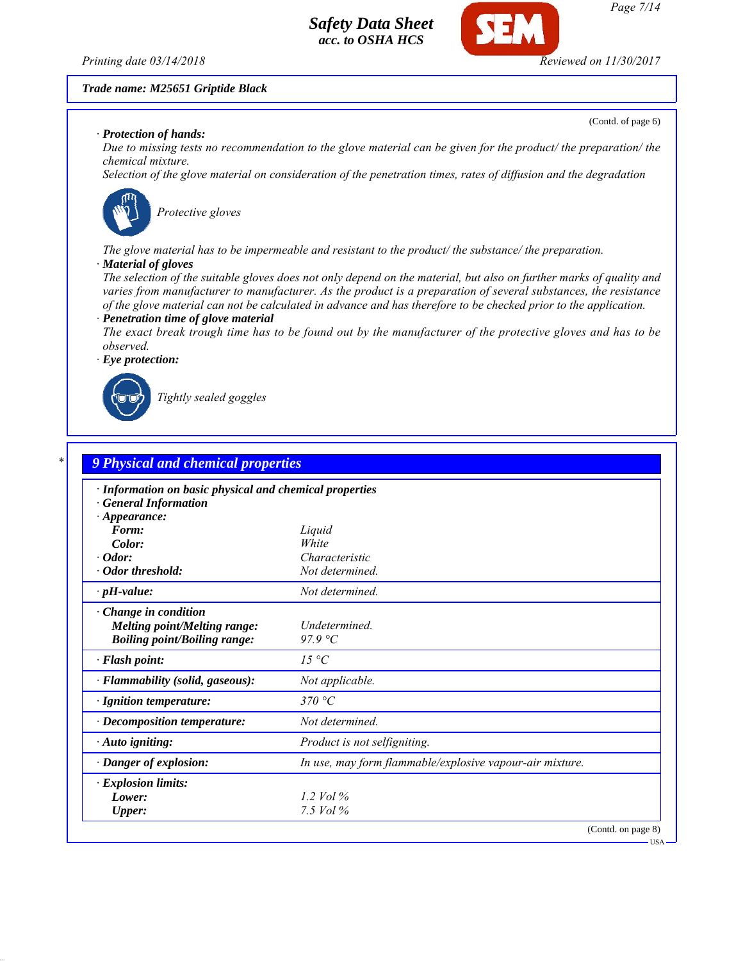

(Contd. of page 6)

#### *Trade name: M25651 Griptide Black*

#### *· Protection of hands:*

*Due to missing tests no recommendation to the glove material can be given for the product/ the preparation/ the chemical mixture.*

*Selection of the glove material on consideration of the penetration times, rates of diffusion and the degradation*



*Protective gloves*

*The glove material has to be impermeable and resistant to the product/ the substance/ the preparation.*

#### *· Material of gloves*

*The selection of the suitable gloves does not only depend on the material, but also on further marks of quality and varies from manufacturer to manufacturer. As the product is a preparation of several substances, the resistance of the glove material can not be calculated in advance and has therefore to be checked prior to the application. · Penetration time of glove material*

*The exact break trough time has to be found out by the manufacturer of the protective gloves and has to be observed.*

*· Eye protection:*



*Tightly sealed goggles*

| · Information on basic physical and chemical properties |                                                          |
|---------------------------------------------------------|----------------------------------------------------------|
| <b>General Information</b>                              |                                                          |
| $\cdot$ Appearance:<br>Form:                            |                                                          |
| Color:                                                  | Liquid<br>White                                          |
| $\cdot$ Odor:                                           | Characteristic                                           |
| • Odor threshold:                                       | Not determined.                                          |
| $\cdot$ pH-value:                                       | Not determined.                                          |
| $\cdot$ Change in condition                             |                                                          |
| <b>Melting point/Melting range:</b>                     | Undetermined.                                            |
| <b>Boiling point/Boiling range:</b>                     | $97.9 \degree C$                                         |
| · Flash point:                                          | 15 °C                                                    |
| · Flammability (solid, gaseous):                        | Not applicable.                                          |
| · Ignition temperature:                                 | 370 $^{\circ}C$                                          |
| $\cdot$ Decomposition temperature:                      | Not determined.                                          |
| · Auto igniting:                                        | Product is not selfigniting.                             |
| $\cdot$ Danger of explosion:                            | In use, may form flammable/explosive vapour-air mixture. |
| $\cdot$ Explosion limits:                               |                                                          |
| Lower:                                                  | 1.2 Vol $\%$                                             |
| <b>Upper:</b>                                           | 7.5 $Vol\%$                                              |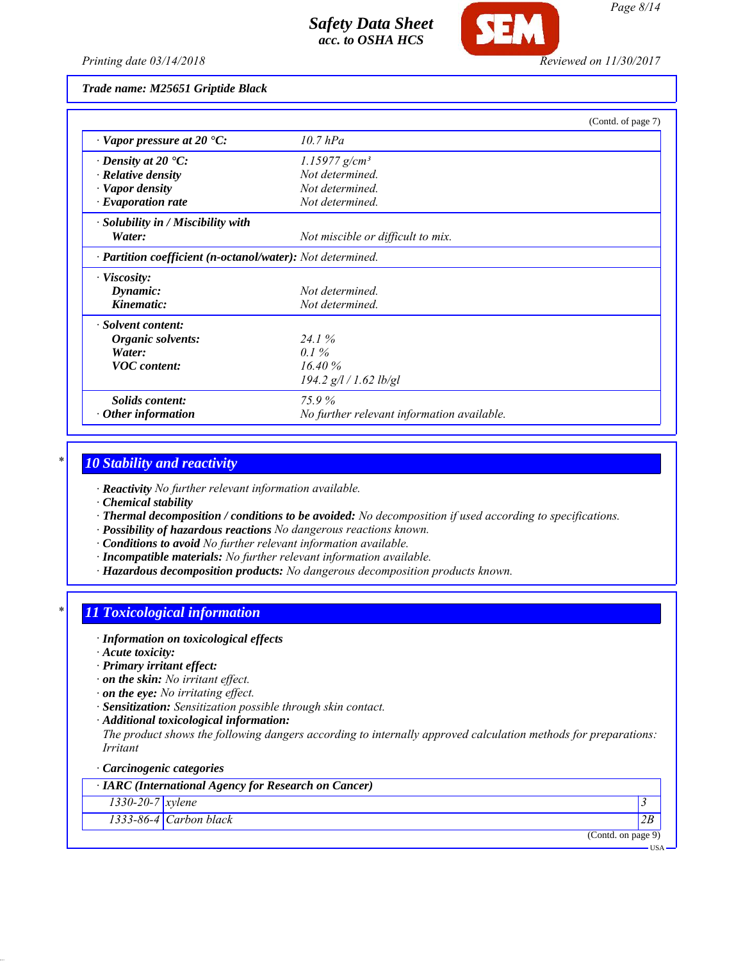

*Printing date 03/14/2018 Reviewed on 11/30/2017*

*Trade name: M25651 Griptide Black*

|                                                            | (Contd. of page 7)                         |  |
|------------------------------------------------------------|--------------------------------------------|--|
| $\cdot$ Vapor pressure at 20 $\cdot$ C:                    | $10.7$ $hPa$                               |  |
| $\cdot$ Density at 20 $\cdot$ C:                           | $1.15977$ g/cm <sup>3</sup>                |  |
| $\cdot$ Relative density                                   | Not determined.                            |  |
| · Vapor density                                            | Not determined.                            |  |
| · Evaporation rate                                         | Not determined.                            |  |
| · Solubility in / Miscibility with                         |                                            |  |
| Water:                                                     | Not miscible or difficult to mix.          |  |
| · Partition coefficient (n-octanol/water): Not determined. |                                            |  |
| $\cdot$ Viscosity:                                         |                                            |  |
| Dynamic:                                                   | Not determined.                            |  |
| Kinematic:                                                 | Not determined.                            |  |
| · Solvent content:                                         |                                            |  |
| Organic solvents:                                          | 24.1%                                      |  |
| Water:                                                     | $0.1\%$                                    |  |
| <b>VOC</b> content:                                        | 16.40%                                     |  |
|                                                            | 194.2 g/l / 1.62 lb/gl                     |  |
| Solids content:                                            | 75.9%                                      |  |
| Other information                                          | No further relevant information available. |  |

### *\* 10 Stability and reactivity*

*· Reactivity No further relevant information available.*

*· Chemical stability*

- *· Thermal decomposition / conditions to be avoided: No decomposition if used according to specifications.*
- *· Possibility of hazardous reactions No dangerous reactions known.*
- *· Conditions to avoid No further relevant information available.*
- *· Incompatible materials: No further relevant information available.*
- *· Hazardous decomposition products: No dangerous decomposition products known.*

# *\* 11 Toxicological information*

- *· Information on toxicological effects*
- *· Acute toxicity:*
- *· Primary irritant effect:*
- *· on the skin: No irritant effect.*
- *· on the eye: No irritating effect.*
- *· Sensitization: Sensitization possible through skin contact.*
- *· Additional toxicological information:*

*The product shows the following dangers according to internally approved calculation methods for preparations: Irritant*

#### *· Carcinogenic categories*

*· IARC (International Agency for Research on Cancer)*

*1330-20-7 xylene 3* 

*1333-86-4 Carbon black 2B*

(Contd. on page 9)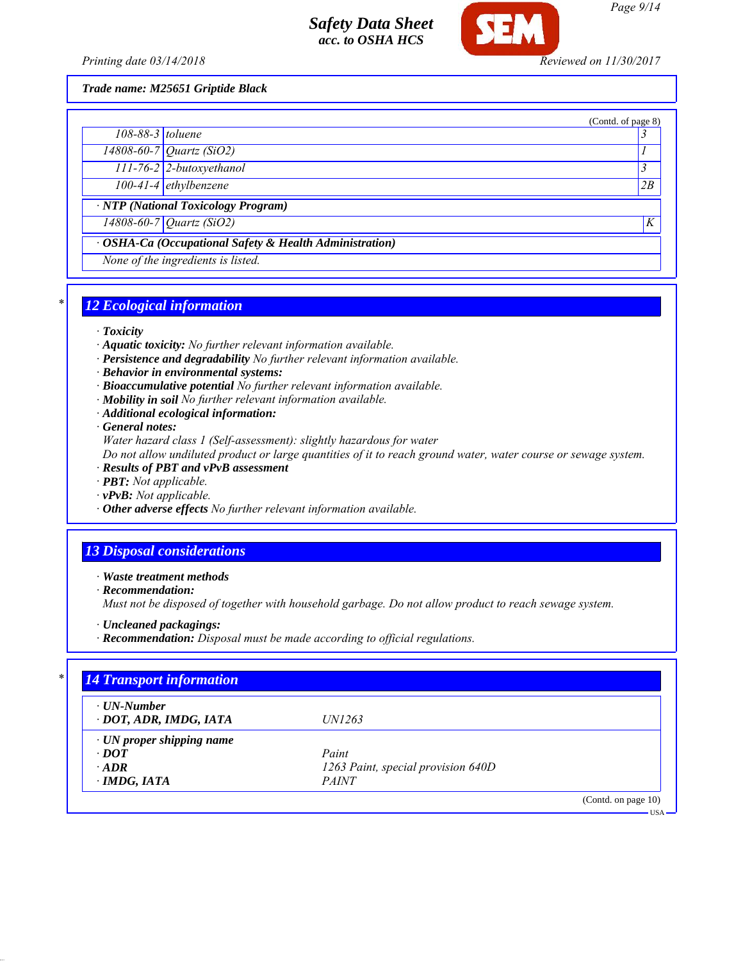

*Trade name: M25651 Griptide Black*

|                                                         | (Contd. of page 8) |
|---------------------------------------------------------|--------------------|
| $108-88-3$ toluene                                      |                    |
| $\sqrt{14808 - 60 - 7}$ Quartz (SiO2)                   |                    |
| 111-76-2 2-butoxyethanol                                |                    |
| $100-41-4$ ethylbenzene                                 | 2B                 |
| · NTP (National Toxicology Program)                     |                    |
| 14808-60-7 Quartz (SiO2)                                | K                  |
| · OSHA-Ca (Occupational Safety & Health Administration) |                    |
| None of the ingredients is listed.                      |                    |
|                                                         |                    |

# *\* 12 Ecological information*

#### *· Toxicity*

- *· Aquatic toxicity: No further relevant information available.*
- *· Persistence and degradability No further relevant information available.*
- *· Behavior in environmental systems:*
- *· Bioaccumulative potential No further relevant information available.*
- *· Mobility in soil No further relevant information available.*
- *· Additional ecological information:*

*· General notes:*

*Water hazard class 1 (Self-assessment): slightly hazardous for water*

*Do not allow undiluted product or large quantities of it to reach ground water, water course or sewage system.*

- *· Results of PBT and vPvB assessment*
- *· PBT: Not applicable.*
- *· vPvB: Not applicable.*
- *· Other adverse effects No further relevant information available.*

### *13 Disposal considerations*

*· Waste treatment methods*

*· Recommendation:*

*Must not be disposed of together with household garbage. Do not allow product to reach sewage system.*

- *· Uncleaned packagings:*
- *· Recommendation: Disposal must be made according to official regulations.*

| $\cdot$ UN-Number<br>· DOT, ADR, IMDG, IATA | <i>UN1263</i>                      |  |
|---------------------------------------------|------------------------------------|--|
| $\cdot$ UN proper shipping name             |                                    |  |
| $\cdot$ DOT                                 | Paint                              |  |
| $\cdot$ ADR                                 | 1263 Paint, special provision 640D |  |
| $\cdot$ IMDG, IATA                          | <i>PAINT</i>                       |  |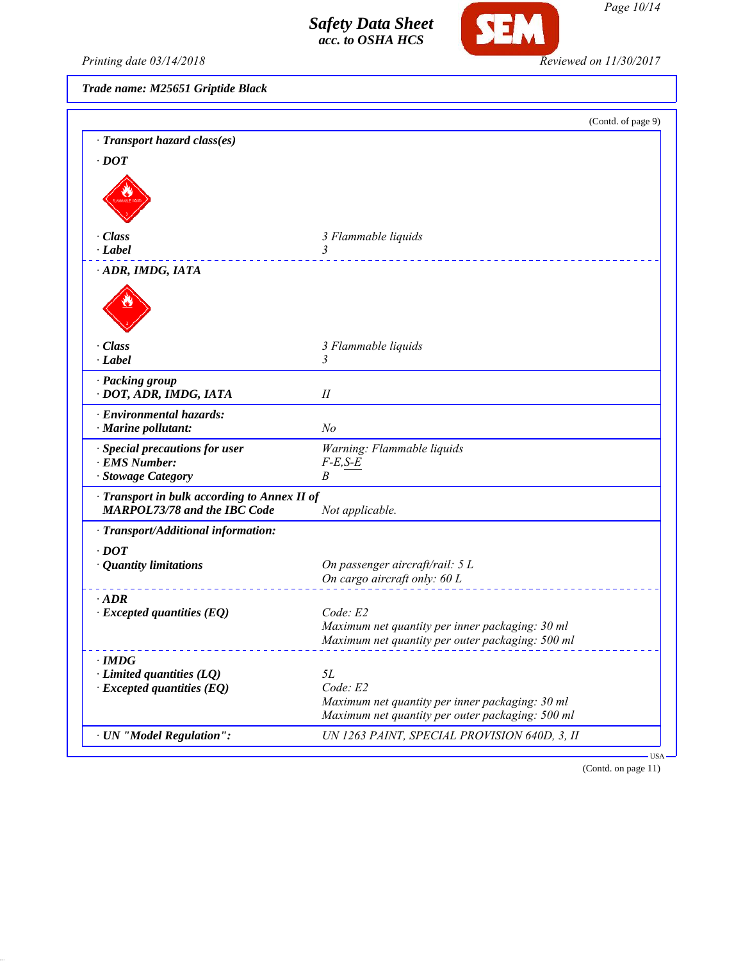

Printing date 03/14/2018 **Reviewed on 11/30/2017** 

*Trade name: M25651 Griptide Black*

|                                                                     | (Contd. of page 9)                               |
|---------------------------------------------------------------------|--------------------------------------------------|
| · Transport hazard class(es)                                        |                                                  |
| $\cdot$ DOT                                                         |                                                  |
|                                                                     |                                                  |
|                                                                     |                                                  |
|                                                                     |                                                  |
|                                                                     |                                                  |
| · Class                                                             | 3 Flammable liquids                              |
| · Label                                                             | 3                                                |
| ADR, IMDG, IATA                                                     |                                                  |
|                                                                     |                                                  |
|                                                                     |                                                  |
|                                                                     |                                                  |
|                                                                     |                                                  |
| · Class                                                             | 3 Flammable liquids                              |
| $\cdot$ Label                                                       | 3                                                |
| · Packing group                                                     |                                                  |
| · DOT, ADR, IMDG, IATA                                              | $I\!I$                                           |
|                                                                     |                                                  |
| · Environmental hazards:<br>$\cdot$ Marine pollutant:               | N <sub>o</sub>                                   |
|                                                                     |                                                  |
| · Special precautions for user                                      | Warning: Flammable liquids                       |
| · EMS Number:                                                       | $F-E, S-E$                                       |
| · Stowage Category                                                  | B                                                |
| · Transport in bulk according to Annex II of                        |                                                  |
| <b>MARPOL73/78 and the IBC Code</b>                                 | Not applicable.                                  |
| · Transport/Additional information:                                 |                                                  |
| $\cdot$ DOT                                                         |                                                  |
| · Quantity limitations                                              | On passenger aircraft/rail: 5 L                  |
|                                                                     | On cargo aircraft only: 60 L                     |
|                                                                     |                                                  |
| $\cdot$ ADR                                                         | Code: E2                                         |
| $\cdot$ Excepted quantities (EQ)                                    | Maximum net quantity per inner packaging: 30 ml  |
|                                                                     | Maximum net quantity per outer packaging: 500 ml |
|                                                                     |                                                  |
| $\cdot$ IMDG                                                        | <i>5L</i>                                        |
| $\cdot$ Limited quantities (LQ)<br>$\cdot$ Excepted quantities (EQ) | Code: E2                                         |
|                                                                     | Maximum net quantity per inner packaging: 30 ml  |
|                                                                     | Maximum net quantity per outer packaging: 500 ml |
|                                                                     |                                                  |
| · UN "Model Regulation":                                            | UN 1263 PAINT, SPECIAL PROVISION 640D, 3, II     |

(Contd. on page 11)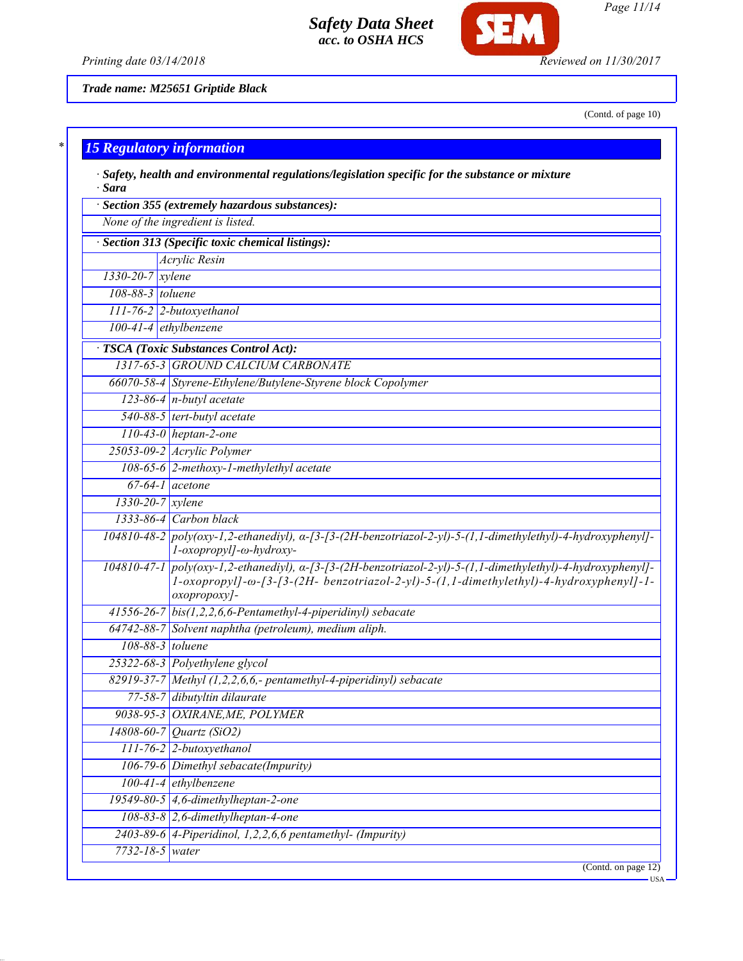

*Page 11/14*

*Printing date 03/14/2018 Reviewed on 11/30/2017*

**SEM** 

*Trade name: M25651 Griptide Black*

(Contd. of page 10)

| $*1$ |  |  |                                  |  |
|------|--|--|----------------------------------|--|
|      |  |  | <b>15 Regulatory information</b> |  |

| · Sara                 | $\cdot$ Safety, health and environmental regulations/legislation specific for the substance or mixture                                                                                                                          |
|------------------------|---------------------------------------------------------------------------------------------------------------------------------------------------------------------------------------------------------------------------------|
|                        | · Section 355 (extremely hazardous substances):                                                                                                                                                                                 |
|                        | None of the ingredient is listed.                                                                                                                                                                                               |
|                        | · Section 313 (Specific toxic chemical listings):                                                                                                                                                                               |
|                        | Acrylic Resin                                                                                                                                                                                                                   |
| 1330-20-7 xylene       |                                                                                                                                                                                                                                 |
| 108-88-3 toluene       |                                                                                                                                                                                                                                 |
|                        | 111-76-2 2-butoxyethanol                                                                                                                                                                                                        |
|                        | 100-41-4 ethylbenzene                                                                                                                                                                                                           |
|                        | · TSCA (Toxic Substances Control Act):                                                                                                                                                                                          |
|                        | 1317-65-3 GROUND CALCIUM CARBONATE                                                                                                                                                                                              |
|                        | 66070-58-4 Styrene-Ethylene/Butylene-Styrene block Copolymer                                                                                                                                                                    |
|                        | $123-86-4$ n-butyl acetate                                                                                                                                                                                                      |
|                        | 540-88-5 tert-butyl acetate                                                                                                                                                                                                     |
|                        | $110-43-0$ heptan-2-one                                                                                                                                                                                                         |
|                        | 25053-09-2 Acrylic Polymer                                                                                                                                                                                                      |
|                        | 108-65-6 2-methoxy-1-methylethyl acetate                                                                                                                                                                                        |
|                        | $\overline{67-64-1}$ acetone                                                                                                                                                                                                    |
| $1330 - 20 - 7$ xylene |                                                                                                                                                                                                                                 |
|                        | 1333-86-4 Carbon black                                                                                                                                                                                                          |
|                        | $104810-48-2$ poly(oxy-1,2-ethanediyl), $\alpha$ -[3-(2H-benzotriazol-2-yl)-5-(1,1-dimethylethyl)-4-hydroxyphenyl]-<br>l-oxopropyl]-ω-hydroxy-                                                                                  |
|                        | 104810-47-1 poly(oxy-1,2-ethanediyl), a-[3-[3-(2H-benzotriazol-2-yl)-5-(1,1-dimethylethyl)-4-hydroxyphenyl]-<br>$1$ -oxopropyl]- $\omega$ -[3-(2H- benzotriazol-2-yl)-5-(1,1-dimethylethyl)-4-hydroxyphenyl]-1-<br>oxopropoxy]- |
|                        | $41556-26-7$ bis(1,2,2,6,6-Pentamethyl-4-piperidinyl) sebacate                                                                                                                                                                  |
|                        | 64742-88-7 Solvent naphtha (petroleum), medium aliph.                                                                                                                                                                           |
| 108-88-3 toluene       |                                                                                                                                                                                                                                 |
|                        | 25322-68-3 Polyethylene glycol                                                                                                                                                                                                  |
|                        | 82919-37-7 Methyl (1,2,2,6,6,- pentamethyl-4-piperidinyl) sebacate                                                                                                                                                              |
|                        | 77-58-7 dibutyltin dilaurate                                                                                                                                                                                                    |
|                        | 9038-95-3 OXIRANE, ME, POLYMER                                                                                                                                                                                                  |
|                        | $14808 - 60 - 7$ <i>Quartz (SiO2)</i>                                                                                                                                                                                           |
|                        | $111$ -76-2 2-butoxyethanol                                                                                                                                                                                                     |
|                        | 106-79-6 Dimethyl sebacate(Impurity)                                                                                                                                                                                            |
|                        | 100-41-4 ethylbenzene                                                                                                                                                                                                           |
|                        | 19549-80-5 $\vert$ 4,6-dimethylheptan-2-one                                                                                                                                                                                     |
|                        | $108-83-8$ 2,6-dimethylheptan-4-one                                                                                                                                                                                             |
|                        | $2403-89-6$ 4-Piperidinol, 1,2,2,6,6 pentamethyl- (Impurity)                                                                                                                                                                    |
| 7732-18-5 water        |                                                                                                                                                                                                                                 |
|                        | (Contd. on page 12)                                                                                                                                                                                                             |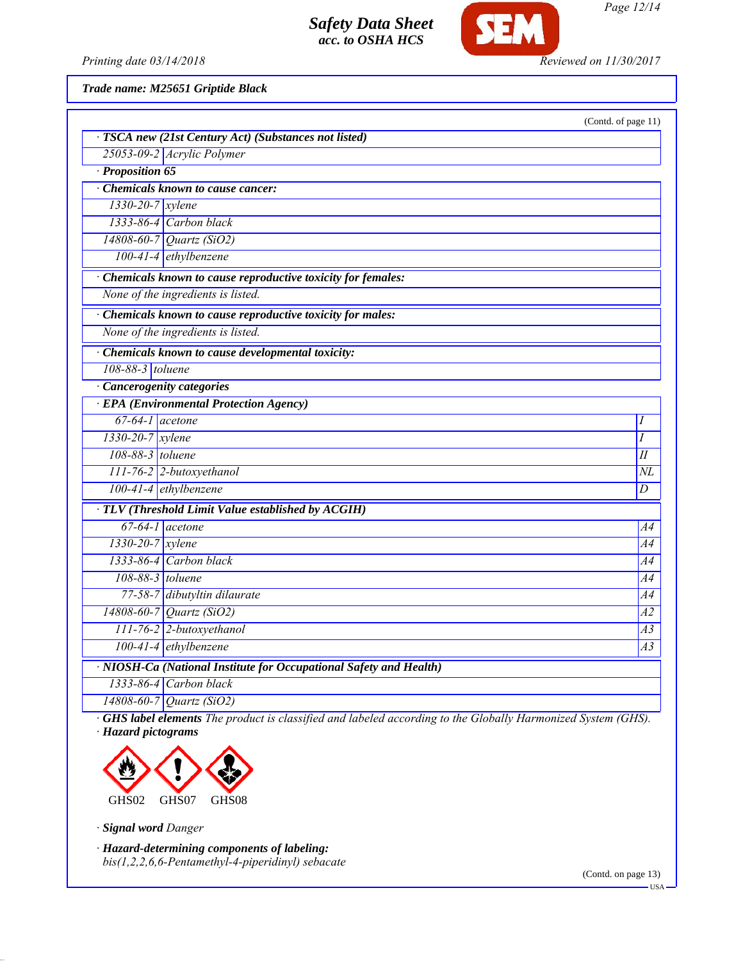

*Page 12/14*

*Printing date 03/14/2018 Reviewed on 11/30/2017*

*Trade name: M25651 Griptide Black*

|                        | · TSCA new (21st Century Act) (Substances not listed)              | (Contd. of page 11) |
|------------------------|--------------------------------------------------------------------|---------------------|
|                        | 25053-09-2 Acrylic Polymer                                         |                     |
| · Proposition 65       |                                                                    |                     |
|                        | Chemicals known to cause cancer:                                   |                     |
| $1330-20-7$ xylene     |                                                                    |                     |
|                        | $1333-86-4$ Carbon black                                           |                     |
|                        | 14808-60-7 Quartz (SiO2)                                           |                     |
|                        | $100-41-4$ ethylbenzene                                            |                     |
|                        | Chemicals known to cause reproductive toxicity for females:        |                     |
|                        | None of the ingredients is listed.                                 |                     |
|                        | · Chemicals known to cause reproductive toxicity for males:        |                     |
|                        | None of the ingredients is listed.                                 |                     |
|                        | · Chemicals known to cause developmental toxicity:                 |                     |
| 108-88-3 toluene       |                                                                    |                     |
|                        | · Cancerogenity categories                                         |                     |
|                        | <b>EPA</b> (Environmental Protection Agency)                       |                     |
| $67-64-1$ acetone      |                                                                    | Ι                   |
| $1330 - 20 - 7$ xylene |                                                                    | I                   |
| 108-88-3 toluene       |                                                                    | II                  |
|                        | 111-76-2 2-butoxyethanol                                           | NL                  |
|                        | $100-41-4$ ethylbenzene                                            | $\overline{D}$      |
|                        | · TLV (Threshold Limit Value established by ACGIH)                 |                     |
|                        | $67-64-1$ acetone                                                  | A4                  |
| $1330 - 20 - 7$ xylene |                                                                    | A4                  |
|                        | 1333-86-4 Carbon black                                             | A4                  |
| 108-88-3 toluene       |                                                                    | A4                  |
|                        | 77-58-7 dibutyltin dilaurate                                       | A4                  |
|                        | 14808-60-7 Quartz (SiO2)                                           | $\overline{A2}$     |
|                        | 111-76-2 2-butoxyethanol                                           | A3                  |
|                        | 100-41-4 ethylbenzene                                              | A3                  |
|                        | · NIOSH-Ca (National Institute for Occupational Safety and Health) |                     |
|                        | $1333-86-4$ Carbon black                                           |                     |
|                        | 14808-60-7 Quartz (SiO2)                                           |                     |

*· GHS label elements The product is classified and labeled according to the Globally Harmonized System (GHS). · Hazard pictograms*



*· Signal word Danger*

*· Hazard-determining components of labeling: bis(1,2,2,6,6-Pentamethyl-4-piperidinyl) sebacate*

(Contd. on page 13)

USA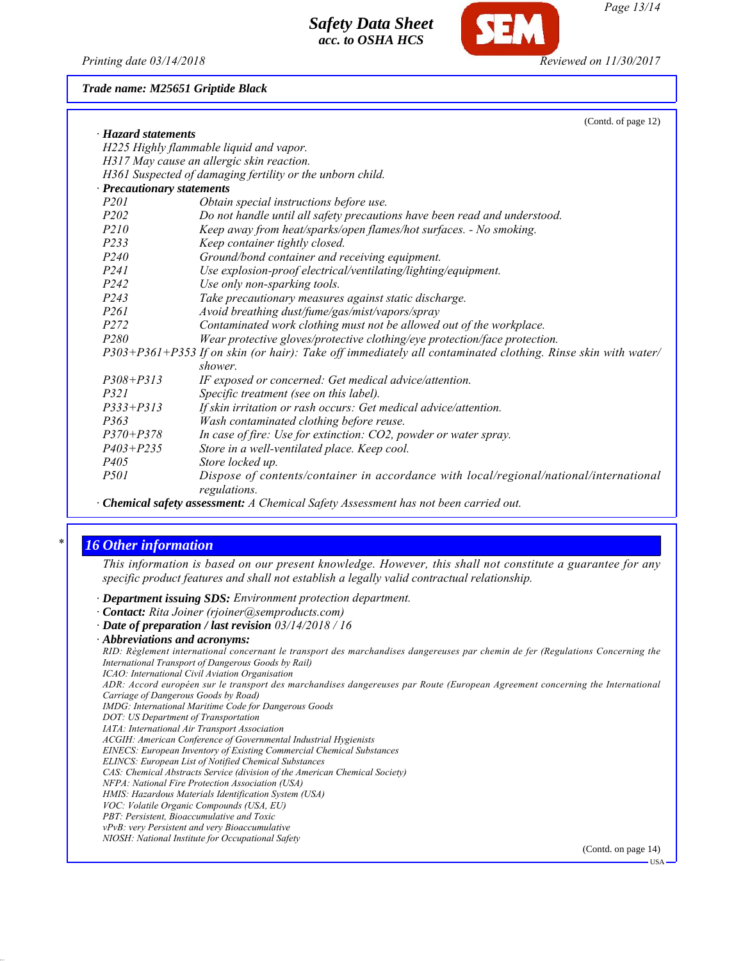*Printing date 03/14/2018 Reviewed on 11/30/2017*

*Trade name: M25651 Griptide Black*

|                             | (Contd. of page 12)                                                                                           |
|-----------------------------|---------------------------------------------------------------------------------------------------------------|
| $\cdot$ Hazard statements   |                                                                                                               |
|                             | H225 Highly flammable liquid and vapor.                                                                       |
|                             | H317 May cause an allergic skin reaction.                                                                     |
|                             | H361 Suspected of damaging fertility or the unborn child.                                                     |
| · Precautionary statements  |                                                                                                               |
| P <sub>201</sub>            | Obtain special instructions before use.                                                                       |
| <i>P202</i>                 | Do not handle until all safety precautions have been read and understood.                                     |
| P210                        | Keep away from heat/sparks/open flames/hot surfaces. - No smoking.                                            |
| P233                        | Keep container tightly closed.                                                                                |
| <i>P240</i>                 | Ground/bond container and receiving equipment.                                                                |
| <i>P241</i>                 | Use explosion-proof electrical/ventilating/lighting/equipment.                                                |
| P242                        | Use only non-sparking tools.                                                                                  |
| P <sub>243</sub>            | Take precautionary measures against static discharge.                                                         |
| <i>P261</i>                 | Avoid breathing dust/fume/gas/mist/vapors/spray                                                               |
| P272                        | Contaminated work clothing must not be allowed out of the workplace.                                          |
| P <sub>280</sub>            | Wear protective gloves/protective clothing/eye protection/face protection.                                    |
|                             | $P303+P361+P353$ If on skin (or hair): Take off immediately all contaminated clothing. Rinse skin with water/ |
|                             | shower.                                                                                                       |
| $P308 + P313$               | IF exposed or concerned: Get medical advice/attention.                                                        |
| <i>P321</i>                 | Specific treatment (see on this label).                                                                       |
| $P333 + P313$               | If skin irritation or rash occurs: Get medical advice/attention.                                              |
| P363                        | Wash contaminated clothing before reuse.                                                                      |
| $P370 + P378$               | In case of fire: Use for extinction: CO2, powder or water spray.                                              |
| $P403 + P235$               | Store in a well-ventilated place. Keep cool.                                                                  |
| P <sub>405</sub>            | Store locked up.                                                                                              |
| <i>P501</i>                 | Dispose of contents/container in accordance with local/regional/national/international<br>regulations.        |
| $\sim$ $\sim$ $\sim$ $\sim$ | $1 \times 1 \times 1 \times 1 \times 1$                                                                       |

*· Chemical safety assessment: A Chemical Safety Assessment has not been carried out.*

### *\* 16 Other information*

*This information is based on our present knowledge. However, this shall not constitute a guarantee for any specific product features and shall not establish a legally valid contractual relationship.*

- *· Department issuing SDS: Environment protection department.*
- *· Contact: Rita Joiner (rjoiner@semproducts.com)*
- *· Date of preparation / last revision 03/14/2018 / 16*

- *IMDG: International Maritime Code for Dangerous Goods*
- *DOT: US Department of Transportation*
- *IATA: International Air Transport Association*
- *ACGIH: American Conference of Governmental Industrial Hygienists*
- *EINECS: European Inventory of Existing Commercial Chemical Substances ELINCS: European List of Notified Chemical Substances*
- *CAS: Chemical Abstracts Service (division of the American Chemical Society)*
- 
- *NFPA: National Fire Protection Association (USA) HMIS: Hazardous Materials Identification System (USA)*
- *VOC: Volatile Organic Compounds (USA, EU)*
- *PBT: Persistent, Bioaccumulative and Toxic*
- *vPvB: very Persistent and very Bioaccumulative*
- *NIOSH: National Institute for Occupational Safety*

(Contd. on page 14)

*<sup>·</sup> Abbreviations and acronyms:*

*RID: Règlement international concernant le transport des marchandises dangereuses par chemin de fer (Regulations Concerning the International Transport of Dangerous Goods by Rail)*

*ICAO: International Civil Aviation Organisation*

*ADR: Accord européen sur le transport des marchandises dangereuses par Route (European Agreement concerning the International Carriage of Dangerous Goods by Road)*

USA